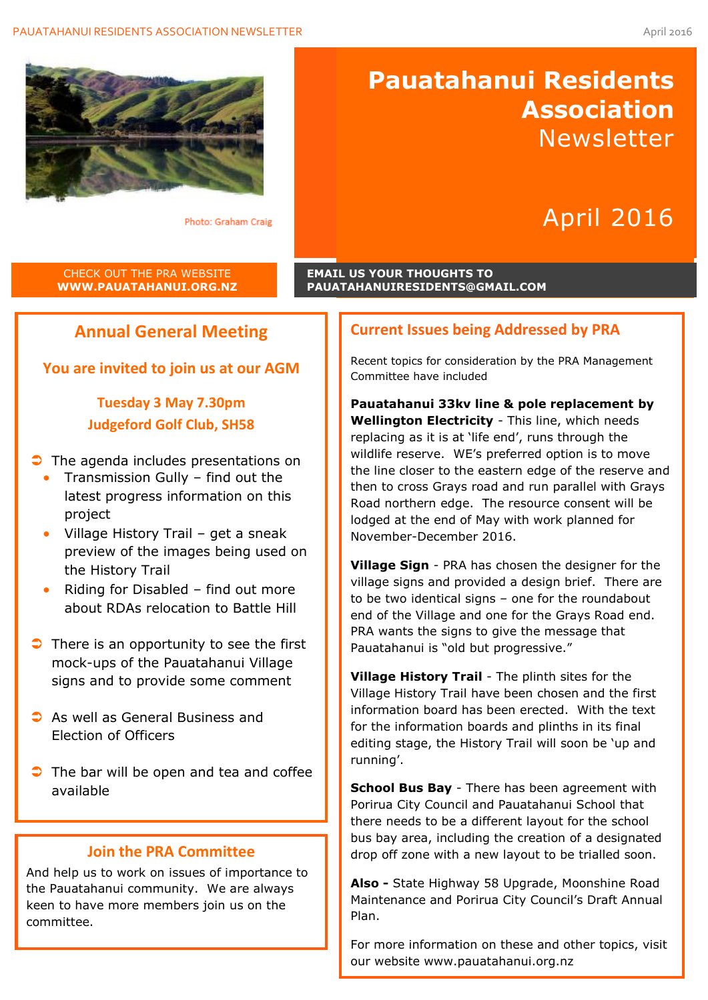

Photo: Graham Craig

# **Pauatahanui Residents Association** Newsletter

# April 2016

CHECK OUT THE PRA WEBSITE **WWW.PAUATAHANUI.ORG.NZ**

#### **EMAIL US YOUR THOUGHTS TO PAUATAHANUIRESIDENTS@GMAIL.COM**

## **Annual General Meeting**

#### **You are invited to join us at our AGM**

## **Tuesday 3 May 7.30pm Judgeford Golf Club, SH58**

- $\bullet$  The agenda includes presentations on
	- Transmission Gully find out the latest progress information on this project
	- Village History Trail get a sneak preview of the images being used on the History Trail
	- Riding for Disabled find out more about RDAs relocation to Battle Hill
- $\bullet$  There is an opportunity to see the first mock-ups of the Pauatahanui Village signs and to provide some comment
- $\supset$  As well as General Business and Election of Officers
- $\bullet$  The bar will be open and tea and coffee available

#### **Join the PRA Committee**

And help us to work on issues of importance to the Pauatahanui community. We are always keen to have more members join us on the committee.

## **Current Issues being Addressed by PRA**

Recent topics for consideration by the PRA Management Committee have included

**Pauatahanui 33kv line & pole replacement by<br>Wellington Electricity - This line, which needs Pauatahanui 33kv line & pole replacement by**  replacing as it is at 'life end', runs through the wildlife reserve. WE's preferred option is to move the line closer to the eastern edge of the reserve and then to cross Grays road and run parallel with Grays Road northern edge. The resource consent will be lodged at the end of May with work planned for November-December 2016.

**Village Sign** - PRA has chosen the designer for the village signs and provided a design brief. There are to be two identical signs – one for the roundabout end of the Village and one for the Grays Road end. PRA wants the signs to give the message that Pauatahanui is "old but progressive."

**Village History Trail** - The plinth sites for the Village History Trail have been chosen and the first information board has been erected. With the text for the information boards and plinths in its final editing stage, the History Trail will soon be 'up and running'.

**School Bus Bay** - There has been agreement with Porirua City Council and Pauatahanui School that there needs to be a different layout for the school bus bay area, including the creation of a designated drop off zone with a new layout to be trialled soon.

**Also -** State Highway 58 Upgrade, Moonshine Road Maintenance and Porirua City Council's Draft Annual Plan.

For more information on these and other topics, visit our website www.pauatahanui.org.nz